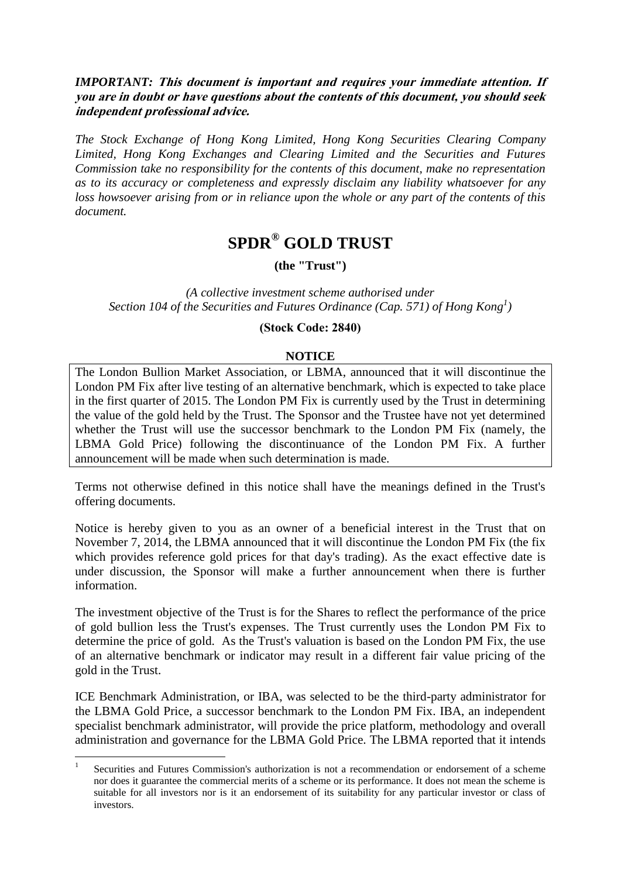# *IMPORTANT:* **This document is important and requires your immediate attention. If you are in doubt or have questions about the contents of this document, you should seek independent professional advice.**

*The Stock Exchange of Hong Kong Limited, Hong Kong Securities Clearing Company Limited, Hong Kong Exchanges and Clearing Limited and the Securities and Futures Commission take no responsibility for the contents of this document, make no representation as to its accuracy or completeness and expressly disclaim any liability whatsoever for any loss howsoever arising from or in reliance upon the whole or any part of the contents of this document.*

# **SPDR® GOLD TRUST**

**(the "Trust")**

*(A collective investment scheme authorised under Section 104 of the Securities and Futures Ordinance (Cap. 571) of Hong Kong<sup>1</sup> )*

#### **(Stock Code: 2840)**

## **NOTICE**

The London Bullion Market Association, or LBMA, announced that it will discontinue the London PM Fix after live testing of an alternative benchmark, which is expected to take place in the first quarter of 2015. The London PM Fix is currently used by the Trust in determining the value of the gold held by the Trust. The Sponsor and the Trustee have not yet determined whether the Trust will use the successor benchmark to the London PM Fix (namely, the LBMA Gold Price) following the discontinuance of the London PM Fix. A further announcement will be made when such determination is made.

Terms not otherwise defined in this notice shall have the meanings defined in the Trust's offering documents.

Notice is hereby given to you as an owner of a beneficial interest in the Trust that on November 7, 2014, the LBMA announced that it will discontinue the London PM Fix (the fix which provides reference gold prices for that day's trading). As the exact effective date is under discussion, the Sponsor will make a further announcement when there is further information.

The investment objective of the Trust is for the Shares to reflect the performance of the price of gold bullion less the Trust's expenses. The Trust currently uses the London PM Fix to determine the price of gold. As the Trust's valuation is based on the London PM Fix, the use of an alternative benchmark or indicator may result in a different fair value pricing of the gold in the Trust.

ICE Benchmark Administration, or IBA, was selected to be the third-party administrator for the LBMA Gold Price, a successor benchmark to the London PM Fix. IBA, an independent specialist benchmark administrator, will provide the price platform, methodology and overall administration and governance for the LBMA Gold Price. The LBMA reported that it intends

1

<sup>1</sup> Securities and Futures Commission's authorization is not a recommendation or endorsement of a scheme nor does it guarantee the commercial merits of a scheme or its performance. It does not mean the scheme is suitable for all investors nor is it an endorsement of its suitability for any particular investor or class of investors.